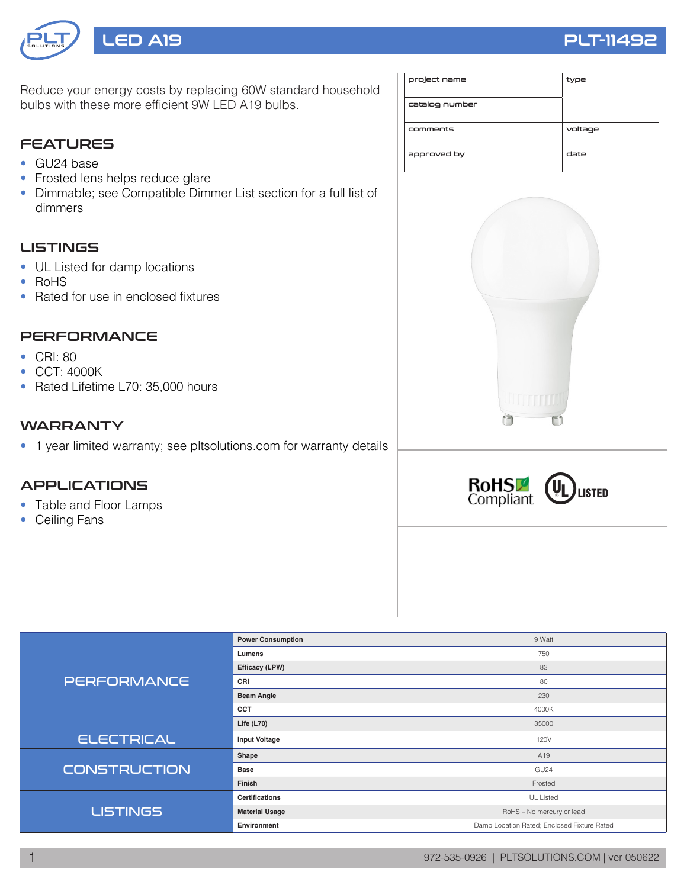

Reduce your energy costs by replacing 60W standard household bulbs with these more efficient 9W LED A19 bulbs.

## **FEATURES**

- GU24 base
- Frosted lens helps reduce glare
- Dimmable; see Compatible Dimmer List section for a full list of dimmers

## LISTINGS

- UL Listed for damp locations
- RoHS
- Rated for use in enclosed fixtures

## **PERFORMANCE**

- CRI: 80
- CCT: 4000K
- Rated Lifetime L70: 35,000 hours

#### **WARRANTY**

• 1 year limited warranty; see pltsolutions.com for warranty details

## APPLICATIONS

- Table and Floor Lamps
- Ceiling Fans

| project name   | type    |
|----------------|---------|
| catalog number |         |
| comments       | voltage |
| approved by    | date    |





|                     | <b>Power Consumption</b> | 9 Watt                                      |  |  |  |
|---------------------|--------------------------|---------------------------------------------|--|--|--|
| <b>PERFORMANCE</b>  | Lumens                   | 750                                         |  |  |  |
|                     | Efficacy (LPW)           | 83                                          |  |  |  |
|                     | CRI                      | 80                                          |  |  |  |
|                     | <b>Beam Angle</b>        | 230                                         |  |  |  |
|                     | <b>CCT</b>               | 4000K                                       |  |  |  |
|                     | Life $(L70)$             | 35000                                       |  |  |  |
| <b>ELECTRICAL</b>   | <b>Input Voltage</b>     | 120V                                        |  |  |  |
| <b>CONSTRUCTION</b> | Shape                    | A <sub>19</sub>                             |  |  |  |
|                     | <b>Base</b>              | GU <sub>24</sub>                            |  |  |  |
|                     | Finish                   | Frosted                                     |  |  |  |
|                     | <b>Certifications</b>    | <b>UL Listed</b>                            |  |  |  |
| <b>LISTINGS</b>     | <b>Material Usage</b>    | RoHS - No mercury or lead                   |  |  |  |
|                     | Environment              | Damp Location Rated; Enclosed Fixture Rated |  |  |  |